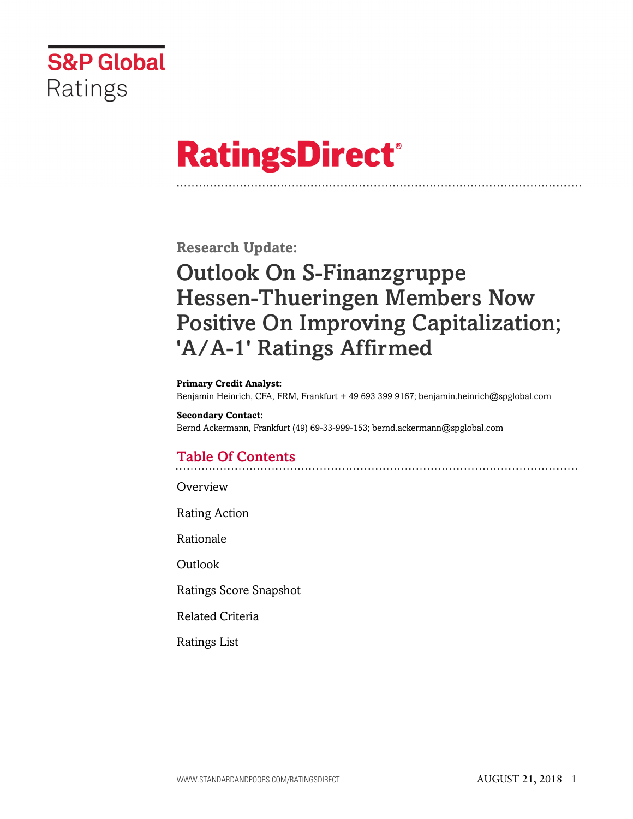

# **RatingsDirect®**

**Research Update:**

# Outlook On S-Finanzgruppe Hessen-Thueringen Members Now Positive On Improving Capitalization; 'A/A-1' Ratings Affirmed

#### **Primary Credit Analyst:**

Benjamin Heinrich, CFA, FRM, Frankfurt + 49 693 399 9167; benjamin.heinrich@spglobal.com

**Secondary Contact:** Bernd Ackermann, Frankfurt (49) 69-33-999-153; bernd.ackermann@spglobal.com

# Table Of Contents

[Overview](#page-1-0)

[Rating Action](#page-1-1)

[Rationale](#page-1-2)

[Outlook](#page-3-0)

[Ratings Score Snapshot](#page-4-0)

[Related Criteria](#page-4-1)

[Ratings List](#page-5-0)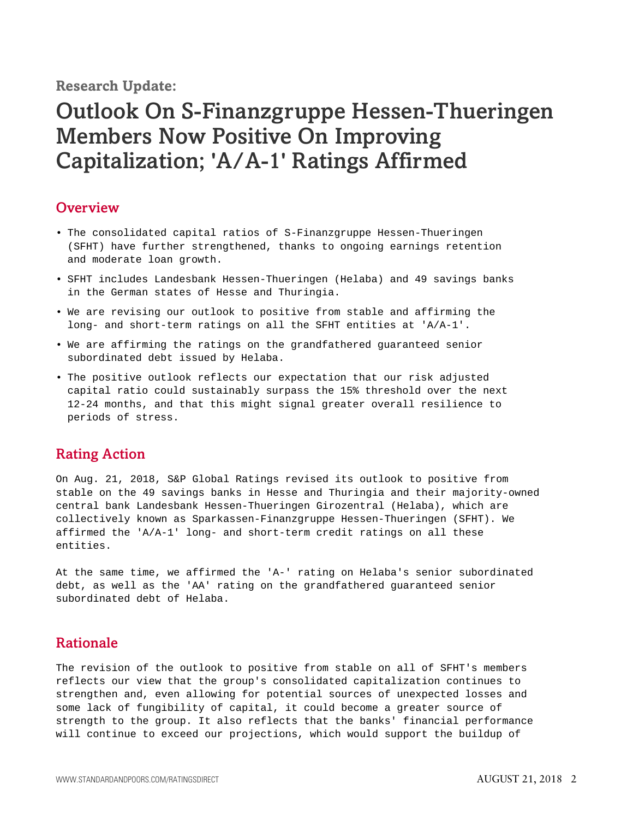**Research Update:**

# Outlook On S-Finanzgruppe Hessen-Thueringen Members Now Positive On Improving Capitalization; 'A/A-1' Ratings Affirmed

#### <span id="page-1-0"></span>**Overview**

- The consolidated capital ratios of S-Finanzgruppe Hessen-Thueringen (SFHT) have further strengthened, thanks to ongoing earnings retention and moderate loan growth.
- SFHT includes Landesbank Hessen-Thueringen (Helaba) and 49 savings banks in the German states of Hesse and Thuringia.
- We are revising our outlook to positive from stable and affirming the long- and short-term ratings on all the SFHT entities at 'A/A-1'.
- We are affirming the ratings on the grandfathered guaranteed senior subordinated debt issued by Helaba.
- The positive outlook reflects our expectation that our risk adjusted capital ratio could sustainably surpass the 15% threshold over the next 12-24 months, and that this might signal greater overall resilience to periods of stress.

#### <span id="page-1-1"></span>Rating Action

On Aug. 21, 2018, S&P Global Ratings revised its outlook to positive from stable on the 49 savings banks in Hesse and Thuringia and their majority-owned central bank Landesbank Hessen-Thueringen Girozentral (Helaba), which are collectively known as Sparkassen-Finanzgruppe Hessen-Thueringen (SFHT). We affirmed the 'A/A-1' long- and short-term credit ratings on all these entities.

At the same time, we affirmed the 'A-' rating on Helaba's senior subordinated debt, as well as the 'AA' rating on the grandfathered guaranteed senior subordinated debt of Helaba.

#### <span id="page-1-2"></span>Rationale

The revision of the outlook to positive from stable on all of SFHT's members reflects our view that the group's consolidated capitalization continues to strengthen and, even allowing for potential sources of unexpected losses and some lack of fungibility of capital, it could become a greater source of strength to the group. It also reflects that the banks' financial performance will continue to exceed our projections, which would support the buildup of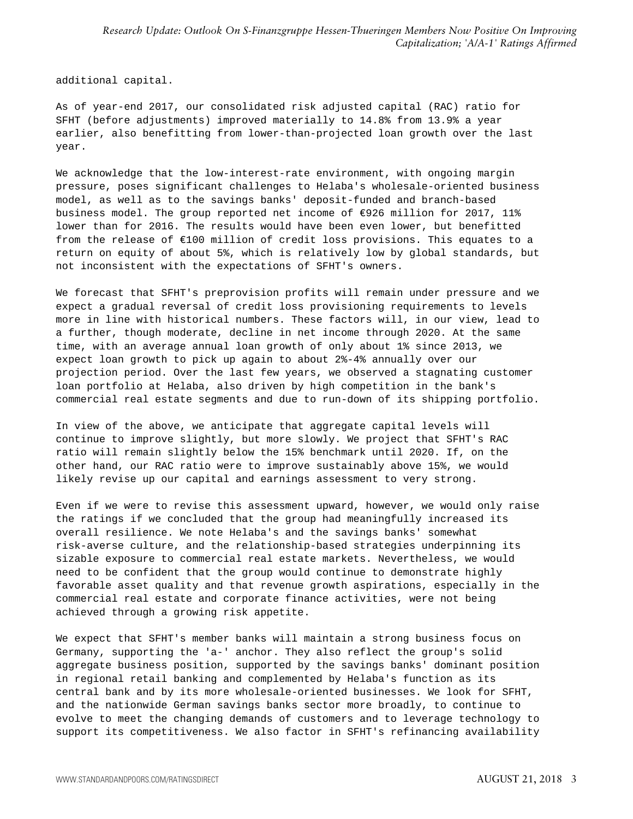additional capital.

As of year-end 2017, our consolidated risk adjusted capital (RAC) ratio for SFHT (before adjustments) improved materially to 14.8% from 13.9% a year earlier, also benefitting from lower-than-projected loan growth over the last year.

We acknowledge that the low-interest-rate environment, with ongoing margin pressure, poses significant challenges to Helaba's wholesale-oriented business model, as well as to the savings banks' deposit-funded and branch-based business model. The group reported net income of €926 million for 2017, 11% lower than for 2016. The results would have been even lower, but benefitted from the release of €100 million of credit loss provisions. This equates to a return on equity of about 5%, which is relatively low by global standards, but not inconsistent with the expectations of SFHT's owners.

We forecast that SFHT's preprovision profits will remain under pressure and we expect a gradual reversal of credit loss provisioning requirements to levels more in line with historical numbers. These factors will, in our view, lead to a further, though moderate, decline in net income through 2020. At the same time, with an average annual loan growth of only about 1% since 2013, we expect loan growth to pick up again to about 2%-4% annually over our projection period. Over the last few years, we observed a stagnating customer loan portfolio at Helaba, also driven by high competition in the bank's commercial real estate segments and due to run-down of its shipping portfolio.

In view of the above, we anticipate that aggregate capital levels will continue to improve slightly, but more slowly. We project that SFHT's RAC ratio will remain slightly below the 15% benchmark until 2020. If, on the other hand, our RAC ratio were to improve sustainably above 15%, we would likely revise up our capital and earnings assessment to very strong.

Even if we were to revise this assessment upward, however, we would only raise the ratings if we concluded that the group had meaningfully increased its overall resilience. We note Helaba's and the savings banks' somewhat risk-averse culture, and the relationship-based strategies underpinning its sizable exposure to commercial real estate markets. Nevertheless, we would need to be confident that the group would continue to demonstrate highly favorable asset quality and that revenue growth aspirations, especially in the commercial real estate and corporate finance activities, were not being achieved through a growing risk appetite.

We expect that SFHT's member banks will maintain a strong business focus on Germany, supporting the 'a-' anchor. They also reflect the group's solid aggregate business position, supported by the savings banks' dominant position in regional retail banking and complemented by Helaba's function as its central bank and by its more wholesale-oriented businesses. We look for SFHT, and the nationwide German savings banks sector more broadly, to continue to evolve to meet the changing demands of customers and to leverage technology to support its competitiveness. We also factor in SFHT's refinancing availability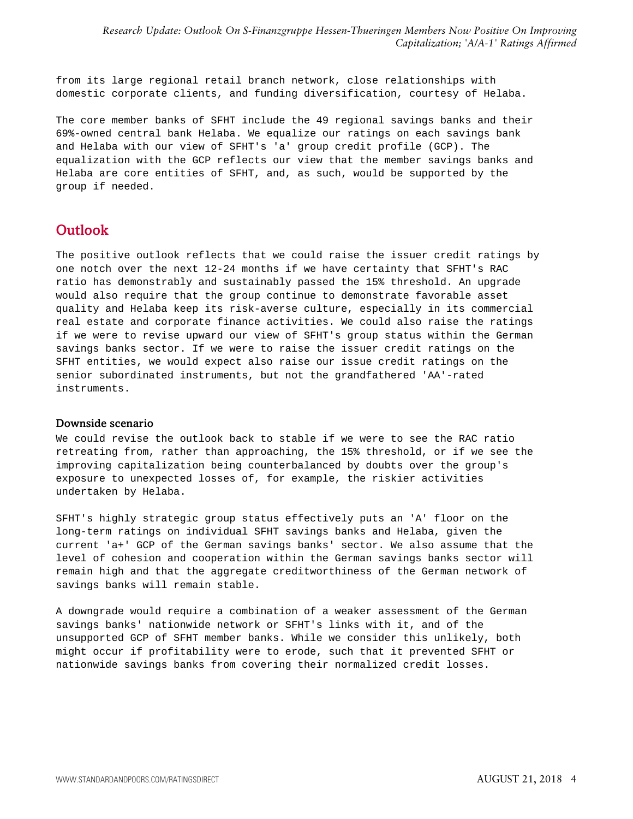*Research Update: Outlook On S-Finanzgruppe Hessen-Thueringen Members Now Positive On Improving Capitalization; 'A/A-1' Ratings Affirmed*

from its large regional retail branch network, close relationships with domestic corporate clients, and funding diversification, courtesy of Helaba.

The core member banks of SFHT include the 49 regional savings banks and their 69%-owned central bank Helaba. We equalize our ratings on each savings bank and Helaba with our view of SFHT's 'a' group credit profile (GCP). The equalization with the GCP reflects our view that the member savings banks and Helaba are core entities of SFHT, and, as such, would be supported by the group if needed.

#### <span id="page-3-0"></span>**Outlook**

The positive outlook reflects that we could raise the issuer credit ratings by one notch over the next 12-24 months if we have certainty that SFHT's RAC ratio has demonstrably and sustainably passed the 15% threshold. An upgrade would also require that the group continue to demonstrate favorable asset quality and Helaba keep its risk-averse culture, especially in its commercial real estate and corporate finance activities. We could also raise the ratings if we were to revise upward our view of SFHT's group status within the German savings banks sector. If we were to raise the issuer credit ratings on the SFHT entities, we would expect also raise our issue credit ratings on the senior subordinated instruments, but not the grandfathered 'AA'-rated instruments.

#### Downside scenario

We could revise the outlook back to stable if we were to see the RAC ratio retreating from, rather than approaching, the 15% threshold, or if we see the improving capitalization being counterbalanced by doubts over the group's exposure to unexpected losses of, for example, the riskier activities undertaken by Helaba.

SFHT's highly strategic group status effectively puts an 'A' floor on the long-term ratings on individual SFHT savings banks and Helaba, given the current 'a+' GCP of the German savings banks' sector. We also assume that the level of cohesion and cooperation within the German savings banks sector will remain high and that the aggregate creditworthiness of the German network of savings banks will remain stable.

A downgrade would require a combination of a weaker assessment of the German savings banks' nationwide network or SFHT's links with it, and of the unsupported GCP of SFHT member banks. While we consider this unlikely, both might occur if profitability were to erode, such that it prevented SFHT or nationwide savings banks from covering their normalized credit losses.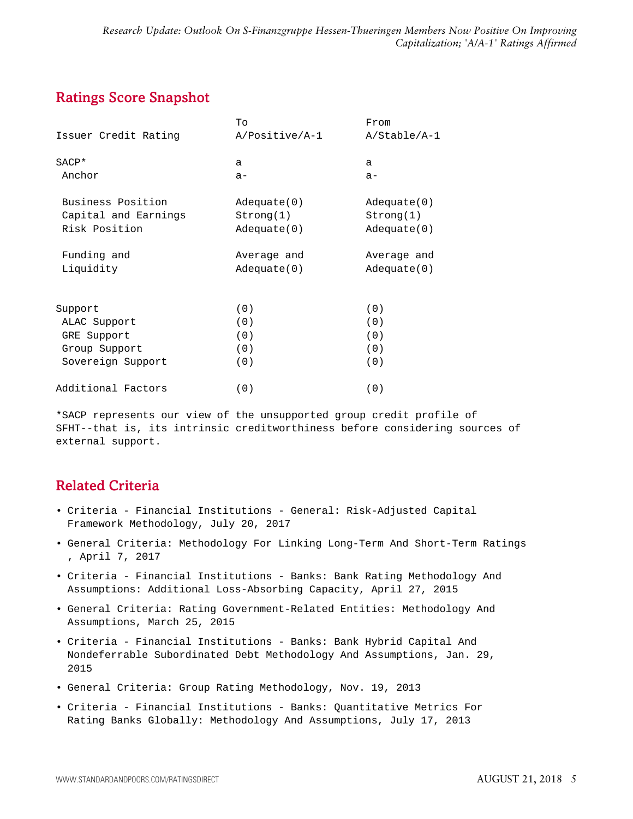### <span id="page-4-0"></span>Ratings Score Snapshot

|                      | Tо                | From         |
|----------------------|-------------------|--------------|
| Issuer Credit Rating | A/Positive/A-1    | A/Stable/A-1 |
| SACP*                | a                 | a            |
| Anchor               | $a -$             | $a -$        |
| Business Position    | $Ad$ equate $(0)$ | Adequate(0)  |
| Capital and Earnings | Strong(1)         | Strong(1)    |
| Risk Position        | Adequate(0)       | Adequate(0)  |
| Funding and          | Average and       | Average and  |
| Liquidity            | Adequate(0)       | Adequate(0)  |
|                      |                   |              |
| Support              | (0)               | (0)          |
| ALAC Support         | (0)               | (0)          |
| GRE Support          | (0)               | (0)          |
| Group Support        | (0)               | (0)          |
| Sovereign Support    | (0)               | (0)          |
| Additional Factors   | (0)               | (0)          |

\*SACP represents our view of the unsupported group credit profile of SFHT--that is, its intrinsic creditworthiness before considering sources of external support.

## <span id="page-4-1"></span>Related Criteria

- Criteria Financial Institutions General: Risk-Adjusted Capital Framework Methodology, July 20, 2017
- General Criteria: Methodology For Linking Long-Term And Short-Term Ratings , April 7, 2017
- Criteria Financial Institutions Banks: Bank Rating Methodology And Assumptions: Additional Loss-Absorbing Capacity, April 27, 2015
- General Criteria: Rating Government-Related Entities: Methodology And Assumptions, March 25, 2015
- Criteria Financial Institutions Banks: Bank Hybrid Capital And Nondeferrable Subordinated Debt Methodology And Assumptions, Jan. 29, 2015
- General Criteria: Group Rating Methodology, Nov. 19, 2013
- Criteria Financial Institutions Banks: Quantitative Metrics For Rating Banks Globally: Methodology And Assumptions, July 17, 2013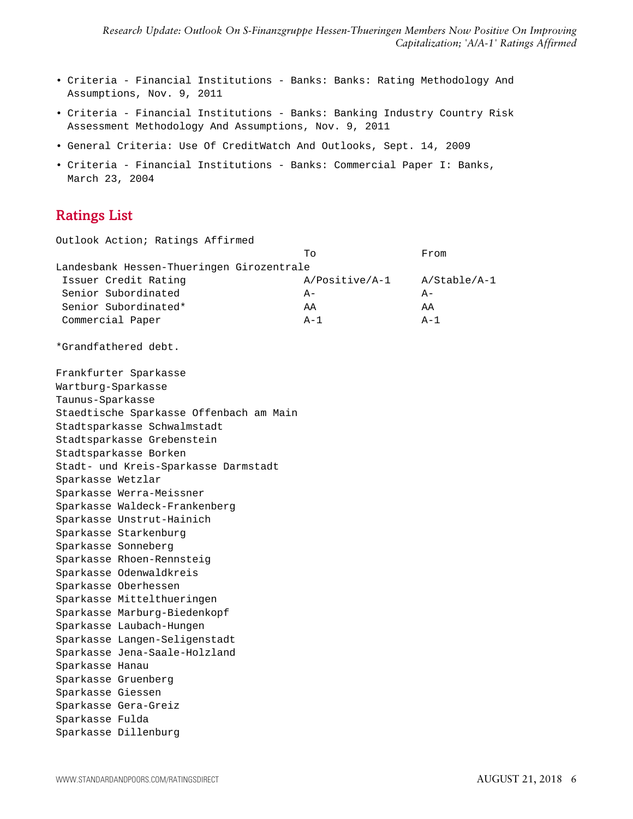- Criteria Financial Institutions Banks: Banks: Rating Methodology And Assumptions, Nov. 9, 2011
- Criteria Financial Institutions Banks: Banking Industry Country Risk Assessment Methodology And Assumptions, Nov. 9, 2011
- General Criteria: Use Of CreditWatch And Outlooks, Sept. 14, 2009
- Criteria Financial Institutions Banks: Commercial Paper I: Banks, March 23, 2004

### <span id="page-5-0"></span>Ratings List

| Outlook Action; Ratings Affirmed          |                |                |
|-------------------------------------------|----------------|----------------|
|                                           | Tо             | From           |
| Landesbank Hessen-Thueringen Girozentrale |                |                |
| Issuer Credit Rating                      | A/Positive/A-1 | $A/Stable/A-1$ |
| Senior Subordinated                       | $A -$          | $A -$          |
| Senior Subordinated*                      | AA             | AA             |
| Commercial Paper                          | $A-1$          | $A-1$          |
| *Grandfathered debt.                      |                |                |
| Frankfurter Sparkasse                     |                |                |
| Wartburg-Sparkasse                        |                |                |
| Taunus-Sparkasse                          |                |                |
| Staedtische Sparkasse Offenbach am Main   |                |                |
| Stadtsparkasse Schwalmstadt               |                |                |
| Stadtsparkasse Grebenstein                |                |                |
| Stadtsparkasse Borken                     |                |                |
| Stadt- und Kreis-Sparkasse Darmstadt      |                |                |
| Sparkasse Wetzlar                         |                |                |
| Sparkasse Werra-Meissner                  |                |                |
| Sparkasse Waldeck-Frankenberg             |                |                |
| Sparkasse Unstrut-Hainich                 |                |                |
| Sparkasse Starkenburg                     |                |                |
| Sparkasse Sonneberg                       |                |                |
| Sparkasse Rhoen-Rennsteig                 |                |                |
| Sparkasse Odenwaldkreis                   |                |                |
| Sparkasse Oberhessen                      |                |                |
| Sparkasse Mittelthueringen                |                |                |
| Sparkasse Marburg-Biedenkopf              |                |                |
| Sparkasse Laubach-Hungen                  |                |                |
| Sparkasse Langen-Seligenstadt             |                |                |
| Sparkasse Jena-Saale-Holzland             |                |                |
| Sparkasse Hanau                           |                |                |
| Sparkasse Gruenberg                       |                |                |
| Sparkasse Giessen                         |                |                |
| Sparkasse Gera-Greiz                      |                |                |
| Sparkasse Fulda                           |                |                |
| Sparkasse Dillenburg                      |                |                |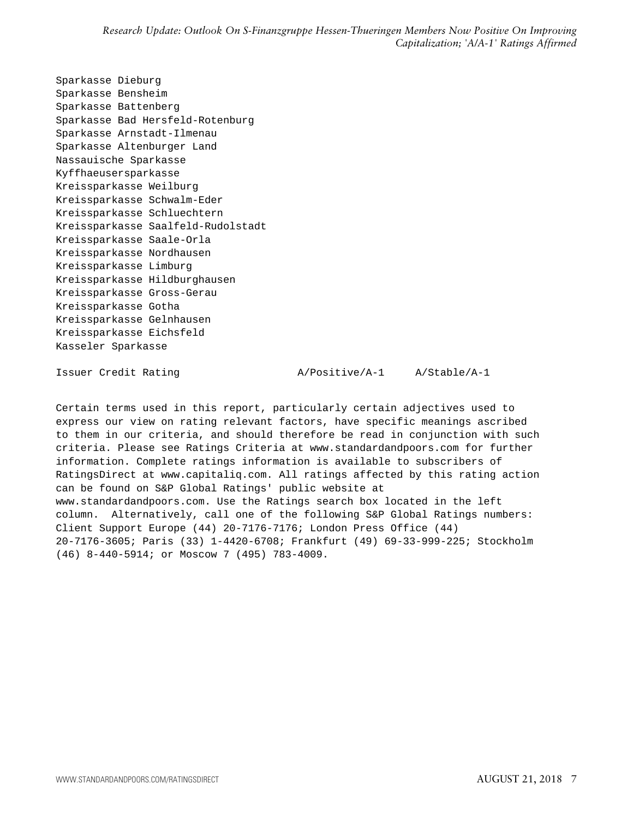Sparkasse Dieburg Sparkasse Bensheim Sparkasse Battenberg Sparkasse Bad Hersfeld-Rotenburg Sparkasse Arnstadt-Ilmenau Sparkasse Altenburger Land Nassauische Sparkasse Kyffhaeusersparkasse Kreissparkasse Weilburg Kreissparkasse Schwalm-Eder Kreissparkasse Schluechtern Kreissparkasse Saalfeld-Rudolstadt Kreissparkasse Saale-Orla Kreissparkasse Nordhausen Kreissparkasse Limburg Kreissparkasse Hildburghausen Kreissparkasse Gross-Gerau Kreissparkasse Gotha Kreissparkasse Gelnhausen Kreissparkasse Eichsfeld Kasseler Sparkasse

Issuer Credit Rating A/Positive/A-1 A/Stable/A-1

Certain terms used in this report, particularly certain adjectives used to express our view on rating relevant factors, have specific meanings ascribed to them in our criteria, and should therefore be read in conjunction with such criteria. Please see Ratings Criteria at www.standardandpoors.com for further information. Complete ratings information is available to subscribers of RatingsDirect at www.capitaliq.com. All ratings affected by this rating action can be found on S&P Global Ratings' public website at www.standardandpoors.com. Use the Ratings search box located in the left column. Alternatively, call one of the following S&P Global Ratings numbers: Client Support Europe (44) 20-7176-7176; London Press Office (44) 20-7176-3605; Paris (33) 1-4420-6708; Frankfurt (49) 69-33-999-225; Stockholm

(46) 8-440-5914; or Moscow 7 (495) 783-4009.